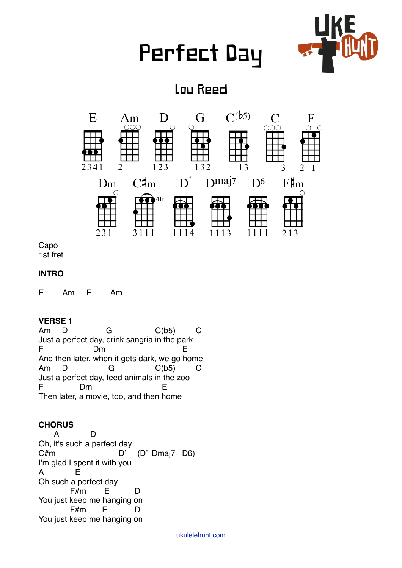# Perfect Day



## Lou Reed



Capo 1st fret

#### **INTRO**

E Am E Am

#### **VERSE 1**

Am D G C(b5) C Just a perfect day, drink sangria in the park F Dm E And then later, when it gets dark, we go home Am D G C(b5) C Just a perfect day, feed animals in the zoo F Dm E Then later, a movie, too, and then home

### **CHORUS**

 A D Oh, it's such a perfect day C#m D' (D' Dmaj7 D6) I'm glad I spent it with you A E Oh such a perfect day F#m E D You just keep me hanging on F#m E D You just keep me hanging on